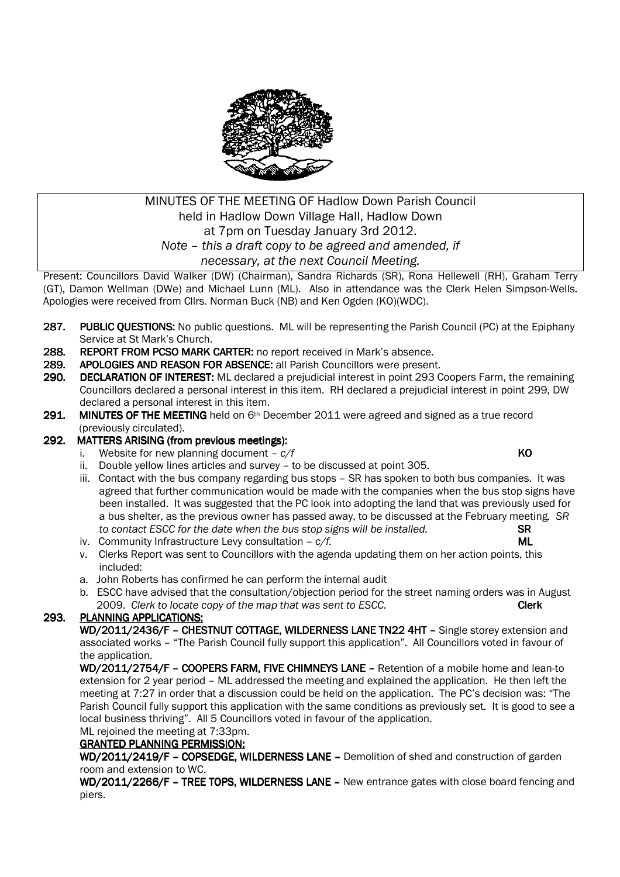

### MINUTES OF THE MEETING OF Hadlow Down Parish Council held in Hadlow Down Village Hall, Hadlow Down at 7pm on Tuesday January 3rd 2012. *Note – this a draft copy to be agreed and amended, if necessary, at the next Council Meeting.*

Present: Councillors David Walker (DW) (Chairman), Sandra Richards (SR), Rona Hellewell (RH), Graham Terry (GT), Damon Wellman (DWe) and Michael Lunn (ML). Also in attendance was the Clerk Helen Simpson-Wells. Apologies were received from Cllrs. Norman Buck (NB) and Ken Ogden (KO)(WDC).

- 287. PUBLIC OUESTIONS: No public questions. ML will be representing the Parish Council (PC) at the Epiphany Service at St Mark's Church.
- 288. REPORT FROM PCSO MARK CARTER: no report received in Mark's absence.
- 289. APOLOGIES AND REASON FOR ABSENCE: all Parish Councillors were present.
- 290. DECLARATION OF INTEREST: ML declared a prejudicial interest in point 293 Coopers Farm, the remaining Councillors declared a personal interest in this item. RH declared a prejudicial interest in point 299, DW declared a personal interest in this item.
- 291. MINUTES OF THE MEETING held on  $6<sup>th</sup>$  December 2011 were agreed and signed as a true record (previously circulated).

#### 292. MATTERS ARISING (from previous meetings):

- Website for new planning document  $-c/f$  **KO**
- ii. Double yellow lines articles and survey to be discussed at point 305.
- iii. Contact with the bus company regarding bus stops SR has spoken to both bus companies. It was agreed that further communication would be made with the companies when the bus stop signs have been installed. It was suggested that the PC look into adopting the land that was previously used for a bus shelter, as the previous owner has passed away, to be discussed at the February meeting*. SR to contact ESCC for the date when the bus stop signs will be installed.* SR
- iv. Community Infrastructure Levy consultation  $c/f$ . **ML**
- v. Clerks Report was sent to Councillors with the agenda updating them on her action points, this included:
- a. John Roberts has confirmed he can perform the internal audit
- b. ESCC have advised that the consultation/objection period for the street naming orders was in August 2009. *Clerk to locate copy of the map that was sent to ESCC.* **Clerk Clerk**

#### 293. PLANNING APPLICATIONS:

WD/2011/2436/F - CHESTNUT COTTAGE, WILDERNESS LANE TN22 4HT - Single storey extension and associated works – "The Parish Council fully support this application". All Councillors voted in favour of the application.

WD/2011/2754/F – COOPERS FARM, FIVE CHIMNEYS LANE – Retention of a mobile home and lean-to extension for 2 year period – ML addressed the meeting and explained the application. He then left the meeting at 7:27 in order that a discussion could be held on the application. The PC's decision was: "The Parish Council fully support this application with the same conditions as previously set. It is good to see a local business thriving". All 5 Councillors voted in favour of the application. ML rejoined the meeting at 7:33pm.

# GRANTED PLANNING PERMISSION:

WD/2011/2419/F - COPSEDGE, WILDERNESS LANE - Demolition of shed and construction of garden room and extension to WC.

WD/2011/2266/F – TREE TOPS, WILDERNESS LANE – New entrance gates with close board fencing and piers.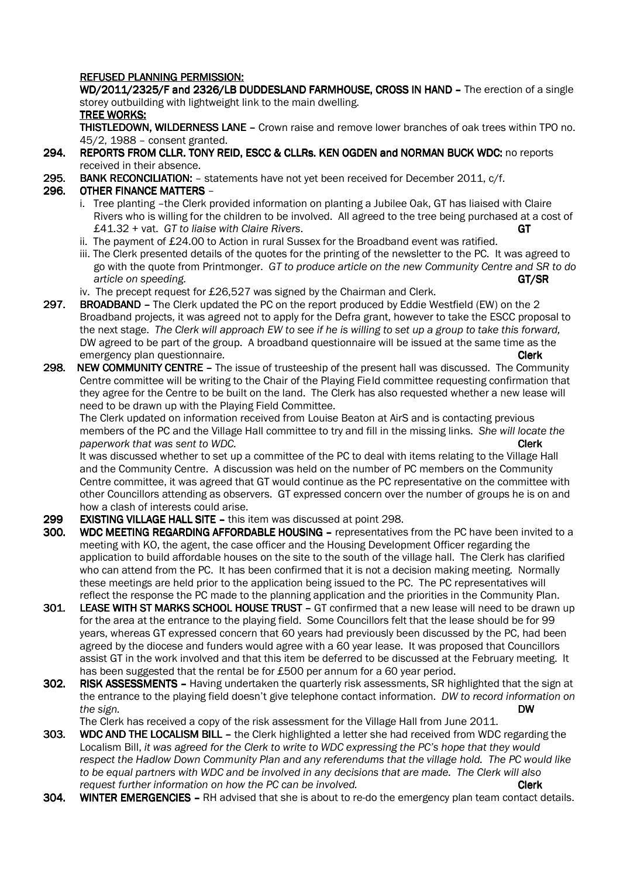#### REFUSED PLANNING PERMISSION:

WD/2011/2325/F and 2326/LB DUDDESLAND FARMHOUSE, CROSS IN HAND - The erection of a single storey outbuilding with lightweight link to the main dwelling. TREE WORKS:

**THISTLEDOWN, WILDERNESS LANE –** Crown raise and remove lower branches of oak trees within TPO no. 45/2, 1988 – consent granted.

- 294. REPORTS FROM CLLR. TONY REID, ESCC & CLLRS. KEN OGDEN and NORMAN BUCK WDC: no reports received in their absence.
- 295. BANK RECONCILIATION: statements have not yet been received for December 2011, c/f.

#### 296. OTHER FINANCE MATTERS -

- i. Tree planting –the Clerk provided information on planting a Jubilee Oak, GT has liaised with Claire Rivers who is willing for the children to be involved. All agreed to the tree being purchased at a cost of £41.32 + vat. *GT to liaise with Claire Rivers*. GT
- ii. The payment of £24.00 to Action in rural Sussex for the Broadband event was ratified.
- iii. The Clerk presented details of the quotes for the printing of the newsletter to the PC. It was agreed to go with the quote from Printmonger. *GT to produce article on the new Community Centre and SR to do article on speeding.* GT/SR
- iv. The precept request for £26,527 was signed by the Chairman and Clerk.
- 297. BROADBAND The Clerk updated the PC on the report produced by Eddie Westfield (EW) on the 2 Broadband projects, it was agreed not to apply for the Defra grant, however to take the ESCC proposal to the next stage. *The Clerk will approach EW to see if he is willing to set up a group to take this forward,* DW agreed to be part of the group. A broadband questionnaire will be issued at the same time as the emergency plan questionnaire. Clerk and the contract of the contract of the clerk clerk clerk
- 298. NEW COMMUNITY CENTRE The issue of trusteeship of the present hall was discussed. The Community Centre committee will be writing to the Chair of the Playing Fie ld committee requesting confirmation that they agree for the Centre to be built on the land. The Clerk has also requested whether a new lease will need to be drawn up with the Playing Field Committee.

The Clerk updated on information received from Louise Beaton at AirS and is contacting previous members of the PC and the Village Hall committee to try and fill in the missing links. *She will locate the paperwork that was sent to WDC.*  $\blacksquare$ 

It was discussed whether to set up a committee of the PC to deal with items relating to the Village Hall and the Community Centre. A discussion was held on the number of PC members on the Community Centre committee, it was agreed that GT would continue as the PC representative on the committee with other Councillors attending as observers. GT expressed concern over the number of groups he is on and how a clash of interests could arise.

- 299 EXISTING VILLAGE HALL SITE this item was discussed at point 298.
- 300. WDC MEETING REGARDING AFFORDABLE HOUSING representatives from the PC have been invited to a meeting with KO, the agent, the case officer and the Housing Development Officer regarding the application to build affordable houses on the site to the south of the village hall. The Clerk has clarified who can attend from the PC. It has been confirmed that it is not a decision making meeting. Normally these meetings are held prior to the application being issued to the PC. The PC representatives will reflect the response the PC made to the planning application and the priorities in the Community Plan.
- 301. LEASE WITH ST MARKS SCHOOL HOUSE TRUST GT confirmed that a new lease will need to be drawn up for the area at the entrance to the playing field. Some Councillors felt that the lease should be for 99 years, whereas GT expressed concern that 60 years had previously been discussed by the PC, had been agreed by the diocese and funders would agree with a 60 year lease. It was proposed that Councillors assist GT in the work involved and that this item be deferred to be discussed at the February meeting. It has been suggested that the rental be for £500 per annum for a 60 year period.
- 302. RISK ASSESSMENTS Having undertaken the quarterly risk assessments. SR highlighted that the sign at the entrance to the playing field doesn't give telephone contact information. *DW to record information on the sign.* DW

The Clerk has received a copy of the risk assessment for the Village Hall from June 2011.

- 303. WDC AND THE LOCALISM BILL the Clerk highlighted a letter she had received from WDC regarding the Localism Bill, *it was agreed for the Clerk to write to WDC expressing the PC's hope that they would respect the Hadlow Down Community Plan and any referendums that the village hold. The PC would like to be equal partners with WDC and be involved in any decisions that are made. The Clerk will also request further information on how the PC can be involved.* **CLEC 2008 Clerk**
- 304. WINTER EMERGENCIES RH advised that she is about to re-do the emergency plan team contact details.